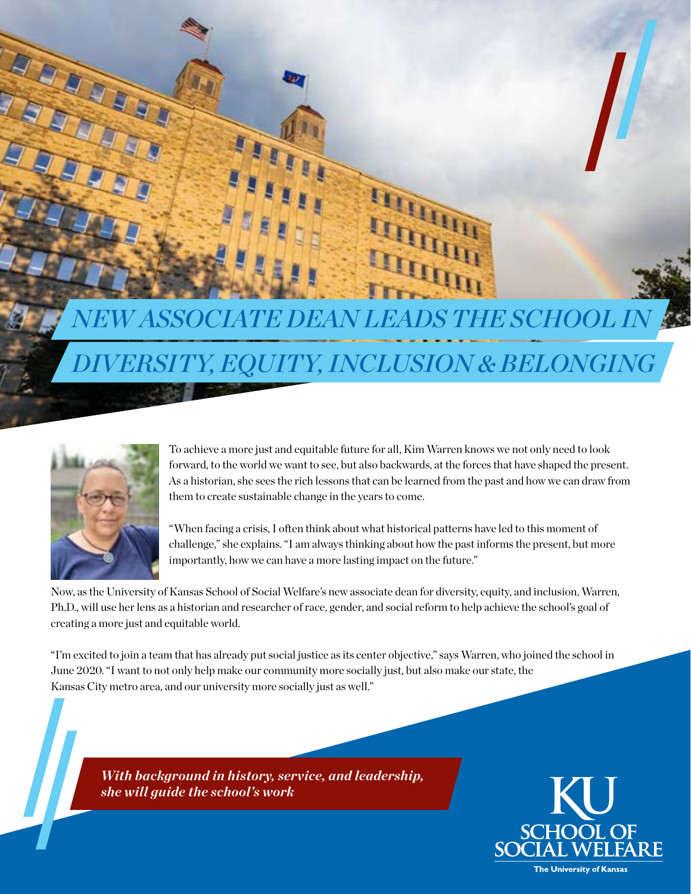## *NEW ASSOCIATE DEAN LEADS THE SCHOOL IN*

### *DIVERSITY, EQUITY, INCLUSION & BELONGING*



ATTEL

To achieve a more just and equitable future for all, Kim Warren knows we not only need to look forward, to the world we want to see, but also backwards, at the forces that have shaped the present. As a historian, she sees the rich lessons that can be learned from the past and how we can draw from them to create sustainable change in the years to come.

**MANITA** 

"When facing a crisis, I often think about what historical patterns have led to this moment of challenge," she explains. "I am always thinking about how the past informs the present, but more importantly, how we can have a more lasting impact on the future."

Now, as the University of Kansas School of Social Welfare's new associate dean for diversity, equity, and inclusion, Warren, Ph.D., will use her lens as a historian and researcher of race, gender, and social reform to help achieve the school's goal of creating a more just and equitable world.

"I'm excited to join a team that has already put social justice as its center objective," says Warren, who joined the school in June 2020. "I want to not only help make our community more socially just, but also make our state, the Kansas City metro area, and our university more socially just as well."

*With background in history, service, and leadership, she will guide the school's work* 

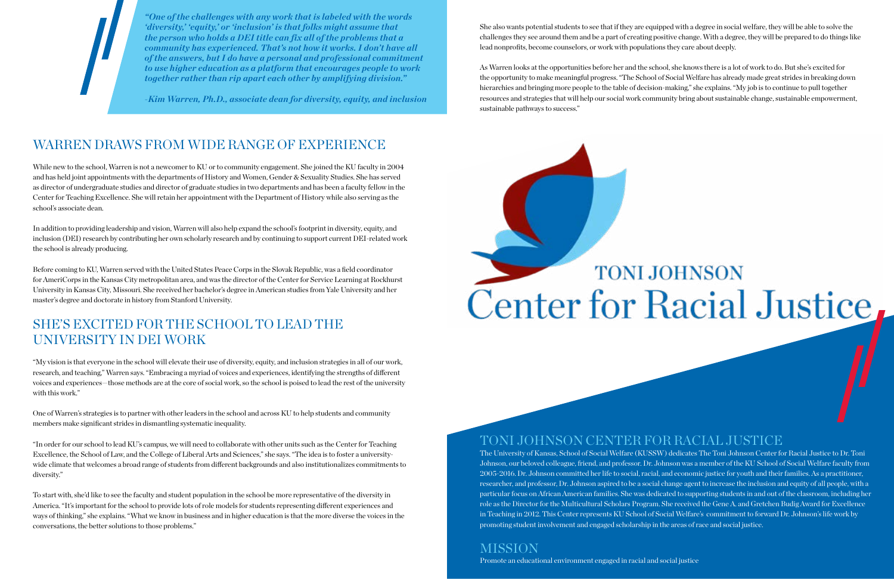#### WARREN DRAWS FROM WIDE RANGE OF EXPERIENCE

While new to the school, Warren is not a newcomer to KU or to community engagement. She joined the KU faculty in 2004 and has held joint appointments with the departments of History and Women, Gender & Sexuality Studies. She has served as director of undergraduate studies and director of graduate studies in two departments and has been a faculty fellow in the Center for Teaching Excellence. She will retain her appointment with the Department of History while also serving as the school's associate dean.

In addition to providing leadership and vision, Warren will also help expand the school's footprint in diversity, equity, and inclusion (DEI) research by contributing her own scholarly research and by continuing to support current DEI-related work the school is already producing.

Before coming to KU, Warren served with the United States Peace Corps in the Slovak Republic, was a field coordinator for AmeriCorps in the Kansas City metropolitan area, and was the director of the Center for Service Learning at Rockhurst University in Kansas City, Missouri. She received her bachelor's degree in American studies from Yale University and her master's degree and doctorate in history from Stanford University.

#### SHE'S EXCITED FOR THE SCHOOL TO LEAD THE UNIVERSITY IN DEI WORK

"My vision is that everyone in the school will elevate their use of diversity, equity, and inclusion strategies in all of our work, research, and teaching," Warren says. "Embracing a myriad of voices and experiences, identifying the strengths of different voices and experiences—those methods are at the core of social work, so the school is poised to lead the rest of the university with this work."

One of Warren's strategies is to partner with other leaders in the school and across KU to help students and community members make significant strides in dismantling systematic inequality.

"In order for our school to lead KU's campus, we will need to collaborate with other units such as the Center for Teaching Excellence, the School of Law, and the College of Liberal Arts and Sciences," she says. "The idea is to foster a universitywide climate that welcomes a broad range of students from different backgrounds and also institutionalizes commitments to diversity."

To start with, she'd like to see the faculty and student population in the school be more representative of the diversity in America. "It's important for the school to provide lots of role models for students representing different experiences and ways of thinking," she explains. "What we know in business and in higher education is that the more diverse the voices in the conversations, the better solutions to those problems."

# **TONI JOHNSON** Center for Racial Justice,



*"One of the challenges with any work that is labeled with the words 'diversity,' 'equity,' or 'inclusion' is that folks might assume that the person who holds a DEI title can fix all of the problems that a community has experienced. That's not how it works. I don't have all of the answers, but I do have a personal and professional commitment to use higher education as a platform that encourages people to work together rather than rip apart each other by amplifying division."*

*-Kim Warren, Ph.D., associate dean for diversity, equity, and inclusion*

She also wants potential students to see that if they are equipped with a degree in social welfare, they will be able to solve the challenges they see around them and be a part of creating positive change. With a degree, they will be prepared to do things like lead nonprofits, become counselors, or work with populations they care about deeply.

As Warren looks at the opportunities before her and the school, she knows there is a lot of work to do. But she's excited for the opportunity to make meaningful progress. "The School of Social Welfare has already made great strides in breaking down hierarchies and bringing more people to the table of decision-making," she explains. "My job is to continue to pull together resources and strategies that will help our social work community bring about sustainable change, sustainable empowerment, sustainable pathways to success."

#### TONI JOHNSON CENTER FOR RACIAL JUSTICE

The University of Kansas, School of Social Welfare (KUSSW) dedicates The Toni Johnson Center for Racial Justice to Dr. Toni Johnson, our beloved colleague, friend, and professor. Dr. Johnson was a member of the KU School of Social Welfare faculty from 2005-2016. Dr. Johnson committed her life to social, racial, and economic justice for youth and their families. As a practitioner, researcher, and professor, Dr. Johnson aspired to be a social change agent to increase the inclusion and equity of all people, with a particular focus on African American families. She was dedicated to supporting students in and out of the classroom, including her role as the Director for the Multicultural Scholars Program. She received the Gene A. and Gretchen Budig Award for Excellence in Teaching in 2012. This Center represents KU School of Social Welfare's commitment to forward Dr. Johnson's life work by promoting student involvement and engaged scholarship in the areas of race and social justice.

#### **MISSION**

Promote an educational environment engaged in racial and social justice